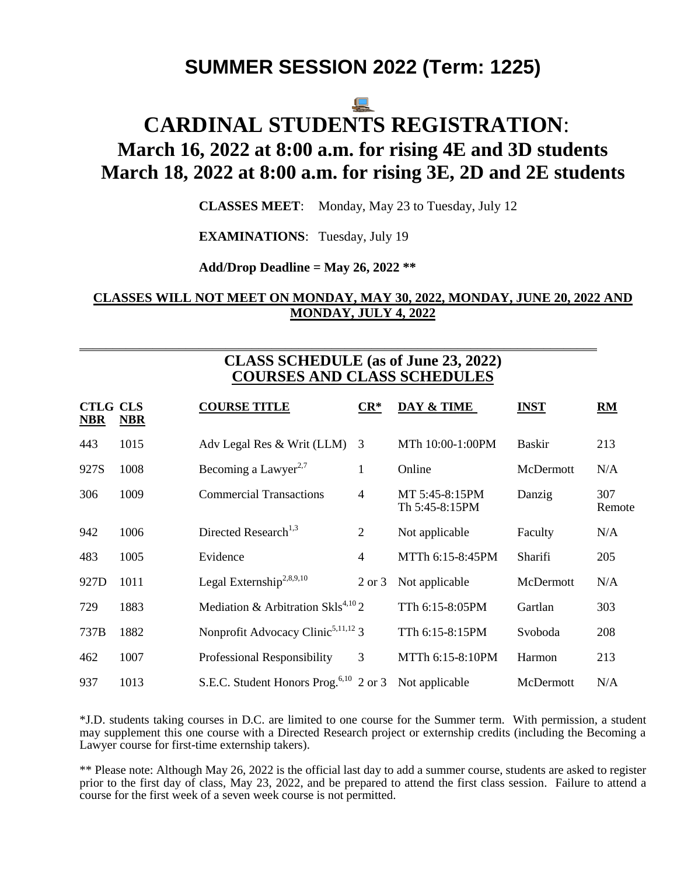# **SUMMER SESSION 2022 (Term: 1225)**

# <u>ie </u>

# **CARDINAL STUDENTS REGISTRATION**: **March 16, 2022 at 8:00 a.m. for rising 4E and 3D students March 18, 2022 at 8:00 a.m. for rising 3E, 2D and 2E students**

**CLASSES MEET**: Monday, May 23 to Tuesday, July 12

**EXAMINATIONS**: Tuesday, July 19

**Add/Drop Deadline = May 26, 2022 \*\***

# **CLASSES WILL NOT MEET ON MONDAY, MAY 30, 2022, MONDAY, JUNE 20, 2022 AND MONDAY, JULY 4, 2022**

# **CLASS SCHEDULE (as of June 23, 2022) COURSES AND CLASS SCHEDULES**

\_\_\_\_\_\_\_\_\_\_\_\_\_\_\_\_\_\_\_\_\_\_\_\_\_\_\_\_\_\_\_\_\_\_\_\_\_\_\_\_\_\_\_\_\_\_\_\_\_\_\_\_\_\_\_\_\_\_\_\_\_\_\_\_\_\_\_\_\_\_\_\_\_\_\_\_\_\_

| <b>CTLG CLS</b><br><b>NBR</b> | <b>NBR</b> | <b>COURSE TITLE</b>                                               | $CR^*$            | DAY & TIME                       | <b>INST</b>   | RM            |
|-------------------------------|------------|-------------------------------------------------------------------|-------------------|----------------------------------|---------------|---------------|
| 443                           | 1015       | Adv Legal Res & Writ (LLM)                                        | 3                 | MTh 10:00-1:00PM                 | <b>Baskir</b> | 213           |
| 927S                          | 1008       | Becoming a Lawyer <sup>2,7</sup>                                  | $\mathbf{1}$      | Online                           | McDermott     | N/A           |
| 306                           | 1009       | <b>Commercial Transactions</b>                                    | 4                 | MT 5:45-8:15PM<br>Th 5:45-8:15PM | Danzig        | 307<br>Remote |
| 942                           | 1006       | Directed Research <sup>1,3</sup>                                  | $\overline{2}$    | Not applicable                   | Faculty       | N/A           |
| 483                           | 1005       | Evidence                                                          | $\overline{4}$    | MTTh 6:15-8:45PM                 | Sharifi       | 205           |
| 927D                          | 1011       | Legal Externship <sup>2,8,9,10</sup>                              | $2 \text{ or } 3$ | Not applicable                   | McDermott     | N/A           |
| 729                           | 1883       | Mediation & Arbitration SkIs <sup>4,10</sup> 2                    |                   | TTh 6:15-8:05PM                  | Gartlan       | 303           |
| 737B                          | 1882       | Nonprofit Advocacy Clinic <sup>5,11,12</sup> 3                    |                   | TTh 6:15-8:15PM                  | Svoboda       | 208           |
| 462                           | 1007       | Professional Responsibility                                       | 3                 | MTTh 6:15-8:10PM                 | Harmon        | 213           |
| 937                           | 1013       | S.E.C. Student Honors Prog. <sup>6,10</sup> 2 or 3 Not applicable |                   |                                  | McDermott     | N/A           |

\*J.D. students taking courses in D.C. are limited to one course for the Summer term. With permission, a student may supplement this one course with a Directed Research project or externship credits (including the Becoming a Lawyer course for first-time externship takers).

\*\* Please note: Although May 26, 2022 is the official last day to add a summer course, students are asked to register prior to the first day of class, May 23, 2022, and be prepared to attend the first class session. Failure to attend a course for the first week of a seven week course is not permitted.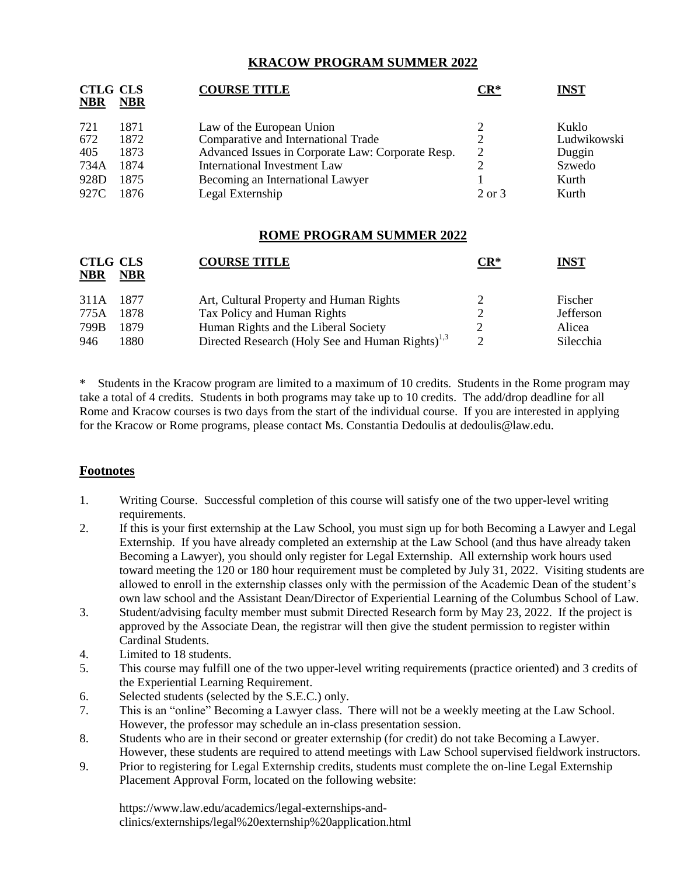## **KRACOW PROGRAM SUMMER 2022**

| <b>CTLG CLS</b><br><b>NBR</b> | <b>NBR</b> | <b>COURSE TITLE</b>                               | $CR^*$ | <b>INST</b> |
|-------------------------------|------------|---------------------------------------------------|--------|-------------|
| 721                           | 1871       | Law of the European Union                         |        | Kuklo       |
| 672                           | 1872       | Comparative and International Trade               |        | Ludwikowski |
| 405                           | 1873       | Advanced Issues in Corporate Law: Corporate Resp. |        | Duggin      |
| 734A                          | 1874       | <b>International Investment Law</b>               |        | Szwedo      |
| 928D                          | 1875       | Becoming an International Lawyer                  |        | Kurth       |
| 927C                          | 1876       | Legal Externship                                  | 2 or 3 | Kurth       |

#### **ROME PROGRAM SUMMER 2022**

| <b>CTLG CLS</b><br><b>NBR</b> | <b>NBR</b> | <b>COURSE TITLE</b>                                          | $CR^*$    | <u>INST</u>      |
|-------------------------------|------------|--------------------------------------------------------------|-----------|------------------|
| 311A 1877                     |            | Art, Cultural Property and Human Rights                      |           | Fischer          |
| 775A                          | 1878       | Tax Policy and Human Rights                                  |           | <b>Jefferson</b> |
| 799B                          | 1879       | Human Rights and the Liberal Society                         |           | Alicea           |
| 946                           | 1880       | Directed Research (Holy See and Human Rights) <sup>1,3</sup> | $\bigcap$ | Silecchia        |

Students in the Kracow program are limited to a maximum of 10 credits. Students in the Rome program may take a total of 4 credits. Students in both programs may take up to 10 credits. The add/drop deadline for all Rome and Kracow courses is two days from the start of the individual course. If you are interested in applying for the Kracow or Rome programs, please contact Ms. Constantia Dedoulis at dedoulis@law.edu.

# **Footnotes**

- 1. Writing Course. Successful completion of this course will satisfy one of the two upper-level writing requirements.
- 2. If this is your first externship at the Law School, you must sign up for both Becoming a Lawyer and Legal Externship. If you have already completed an externship at the Law School (and thus have already taken Becoming a Lawyer), you should only register for Legal Externship. All externship work hours used toward meeting the 120 or 180 hour requirement must be completed by July 31, 2022. Visiting students are allowed to enroll in the externship classes only with the permission of the Academic Dean of the student's own law school and the Assistant Dean/Director of Experiential Learning of the Columbus School of Law.
- 3. Student/advising faculty member must submit Directed Research form by May 23, 2022. If the project is approved by the Associate Dean, the registrar will then give the student permission to register within Cardinal Students.
- 4. Limited to 18 students.
- 5. This course may fulfill one of the two upper-level writing requirements (practice oriented) and 3 credits of the Experiential Learning Requirement.
- 6. Selected students (selected by the S.E.C.) only.
- 7. This is an "online" Becoming a Lawyer class. There will not be a weekly meeting at the Law School. However, the professor may schedule an in-class presentation session.
- 8. Students who are in their second or greater externship (for credit) do not take Becoming a Lawyer. However, these students are required to attend meetings with Law School supervised fieldwork instructors.
- 9. Prior to registering for Legal Externship credits, students must complete the on-line Legal Externship Placement Approval Form, located on the following website:

https://www.law.edu/academics/legal-externships-andclinics/externships/legal%20externship%20application.html